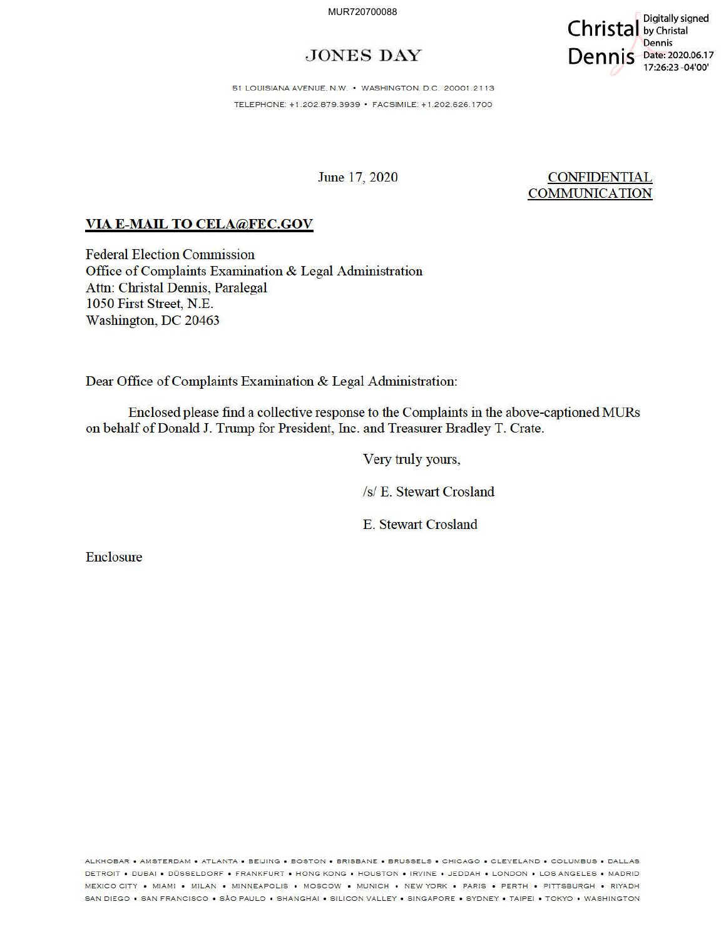MUR720700088

## **JONES DAY**



51 LOUISIANA AVENUE, N.W. • WASHINGTON, D.C. 20001.2113 TELEPHONE: + 1.202.879.3939 • FACSIM ILE: + 1.202.626. 1700

June 17, 2020

**CONFIDENTIAL COMMUNICATION** 

## **VIA E-MAIL TO CELA@FEC.GOV**

Federal Election Commission Office of Complaints Examination & Legal Administration Attn: Christal Dennis, Paralegal 1050 First Street, N.E. Washington, DC 20463

Dear Office of Complaints Examination & Legal Administration:

Enclosed please find a collective response to the Complaints in the above-captioned MURs on behalf of Donald J. Tmmp for President, fuc. and Treasurer Bradley T. Crate.

Very truly yours,

/s/ E. Stewart Crosland

E. Stewart Crosland

Enclosure

ALKHOBAR • AMSTERDAM • ATLANTA • BEIJING • BOSTON • BRISBANE • BRUSSELS • CHICAGO • CLEVELAND • COLUMBUS • DALLAS DETROIT • DUBAI • DÚSSELDORF • FRANKFURT • HONG KONG • HOUSTON • IRVINE • JEDDAH • LONDON • LOS ANGELES • MADRID MEXICO CITY • MIAMI • MILAN • MINNEAPOLIS • MOSCOW • MUNICH • NEW YORK • PARIS • PERTH • PITTSBURGH • RIYADH SAN DIEGO • SAN FRANCISCO • SÃO PAULO • SHANGHAI • SILICON VALLEY • SINGAPORE • SYDNEY • TAIPEI • TOKYO • WASHINGTON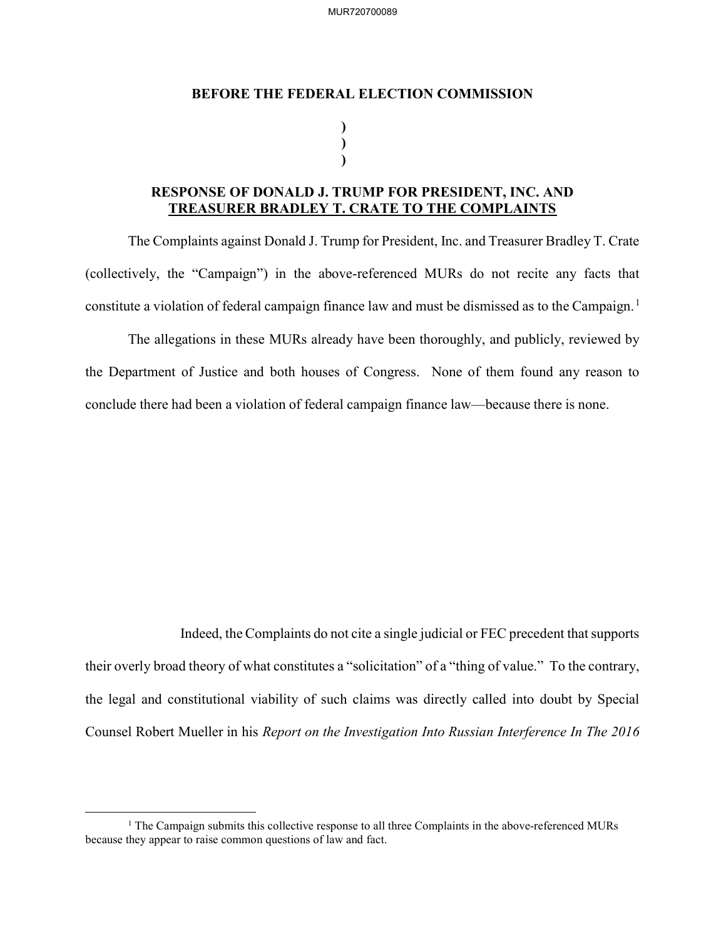MUR720700089

## BEFORE THE FEDERAL ELECTION COMMISSION

) )  $\mathbf{)}$ 

## RESPONSE OF DONALD J. TRUMP FOR PRESIDENT, INC. AND TREASURER BRADLEY T. CRATE TO THE COMPLAINTS

The Complaints against Donald J. Trump for President, Inc. and Treasurer Bradley T. Crate (collectively, the "Campaign") in the above-referenced MURs do not recite any facts that constitute a violation of federal campaign finance law and must be dismissed as to the Campaign.<sup>1</sup>

The allegations in these MURs already have been thoroughly, and publicly, reviewed by the Department of Justice and both houses of Congress. None of them found any reason to conclude there had been a violation of federal campaign finance law—because there is none.

 Indeed, the Complaints do not cite a single judicial or FEC precedent that supports their overly broad theory of what constitutes a "solicitation" of a "thing of value." To the contrary, the legal and constitutional viability of such claims was directly called into doubt by Special Counsel Robert Mueller in his Report on the Investigation Into Russian Interference In The 2016

<sup>&</sup>lt;sup>1</sup> The Campaign submits this collective response to all three Complaints in the above-referenced MURs because they appear to raise common questions of law and fact.